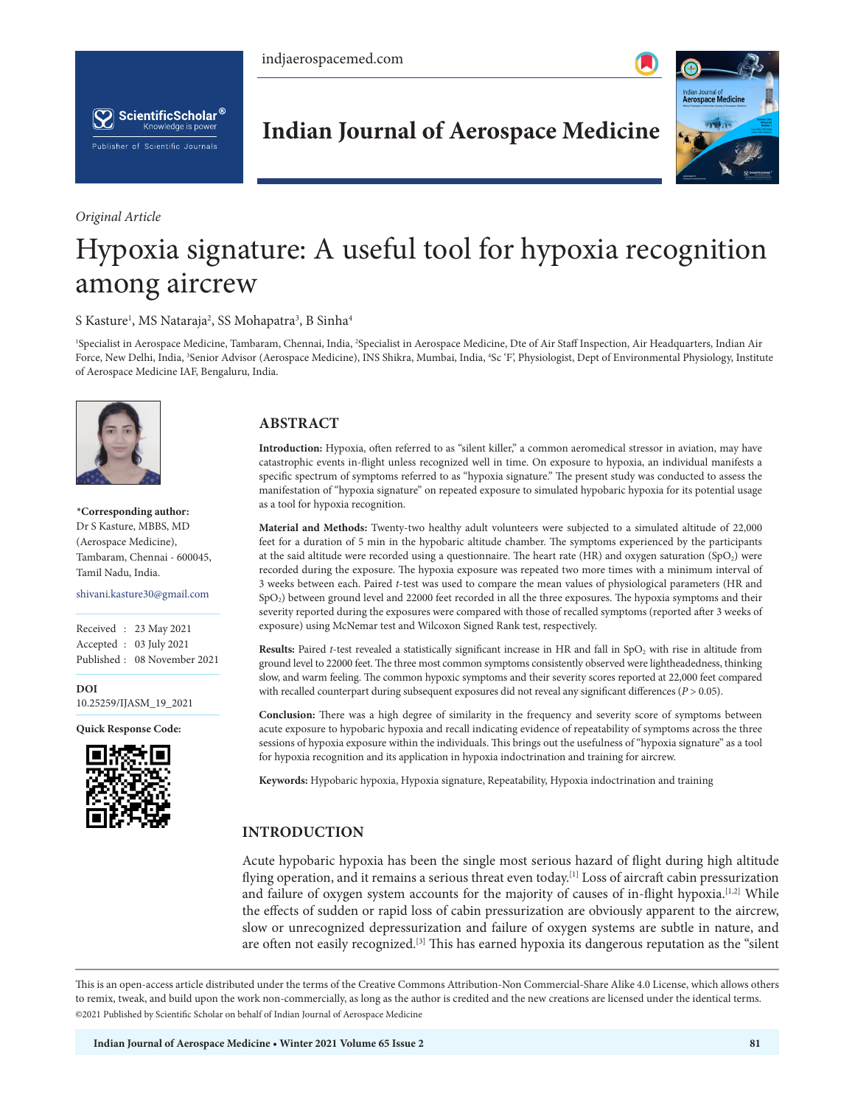



*Original Article*

# **Indian Journal of Aerospace Medicine**



# Hypoxia signature: A useful tool for hypoxia recognition among aircrew

S Kasture<sup>1</sup>, MS Nataraja<sup>2</sup>, SS Mohapatra<sup>3</sup>, B Sinha<sup>4</sup>

<sup>1</sup>Specialist in Aerospace Medicine, Tambaram, Chennai, India, <sup>2</sup>Specialist in Aerospace Medicine, Dte of Air Staff Inspection, Air Headquarters, Indian Air Force, New Delhi, India, <sup>3</sup>Senior Advisor (Aerospace Medicine), INS Shikra, Mumbai, India, <sup>4</sup>Sc ʿF', Physiologist, Dept of Environmental Physiology, Institute of Aerospace Medicine IAF, Bengaluru, India.



**\*Corresponding author:** Dr S Kasture, MBBS, MD (Aerospace Medicine), Tambaram, Chennai - 600045, Tamil Nadu, India.

shivani.kasture30@gmail.com

Received : 23 May 2021 Accepted : 03 July 2021 Published : 08 November 2021

**DOI** [10.25259/IJASM\\_19\\_2021](https://dx.doi.org/10.25259/IJASM_19_2021)

**Quick Response Code:**



### **ABSTRACT**

**Introduction:** Hypoxia, often referred to as "silent killer," a common aeromedical stressor in aviation, may have catastrophic events in-flight unless recognized well in time. On exposure to hypoxia, an individual manifests a specific spectrum of symptoms referred to as "hypoxia signature." The present study was conducted to assess the manifestation of "hypoxia signature" on repeated exposure to simulated hypobaric hypoxia for its potential usage as a tool for hypoxia recognition.

**Material and Methods:** Twenty-two healthy adult volunteers were subjected to a simulated altitude of 22,000 feet for a duration of 5 min in the hypobaric altitude chamber. The symptoms experienced by the participants at the said altitude were recorded using a questionnaire. The heart rate (HR) and oxygen saturation (SpO<sub>2</sub>) were recorded during the exposure. The hypoxia exposure was repeated two more times with a minimum interval of 3 weeks between each. Paired *t*-test was used to compare the mean values of physiological parameters (HR and SpO2) between ground level and 22000 feet recorded in all the three exposures. The hypoxia symptoms and their severity reported during the exposures were compared with those of recalled symptoms (reported after 3 weeks of exposure) using McNemar test and Wilcoxon Signed Rank test, respectively.

**Results:** Paired *t*-test revealed a statistically significant increase in HR and fall in SpO<sub>2</sub> with rise in altitude from ground level to 22000 feet. The three most common symptoms consistently observed were lightheadedness, thinking slow, and warm feeling. The common hypoxic symptoms and their severity scores reported at 22,000 feet compared with recalled counterpart during subsequent exposures did not reveal any significant differences (*P* > 0.05).

**Conclusion:** There was a high degree of similarity in the frequency and severity score of symptoms between acute exposure to hypobaric hypoxia and recall indicating evidence of repeatability of symptoms across the three sessions of hypoxia exposure within the individuals. This brings out the usefulness of "hypoxia signature" as a tool for hypoxia recognition and its application in hypoxia indoctrination and training for aircrew.

**Keywords:** Hypobaric hypoxia, Hypoxia signature, Repeatability, Hypoxia indoctrination and training

## **INTRODUCTION**

Acute hypobaric hypoxia has been the single most serious hazard of flight during high altitude flying operation, and it remains a serious threat even today.<sup>[1]</sup> Loss of aircraft cabin pressurization and failure of oxygen system accounts for the majority of causes of in-flight hypoxia.<sup>[1,2]</sup> While the effects of sudden or rapid loss of cabin pressurization are obviously apparent to the aircrew, slow or unrecognized depressurization and failure of oxygen systems are subtle in nature, and are often not easily recognized.[3] This has earned hypoxia its dangerous reputation as the "silent

This is an open-access article distributed under the terms of the Creative Commons Attribution-Non Commercial-Share Alike 4.0 License, which allows others to remix, tweak, and build upon the work non-commercially, as long as the author is credited and the new creations are licensed under the identical terms. ©2021 Published by Scientific Scholar on behalf of Indian Journal of Aerospace Medicine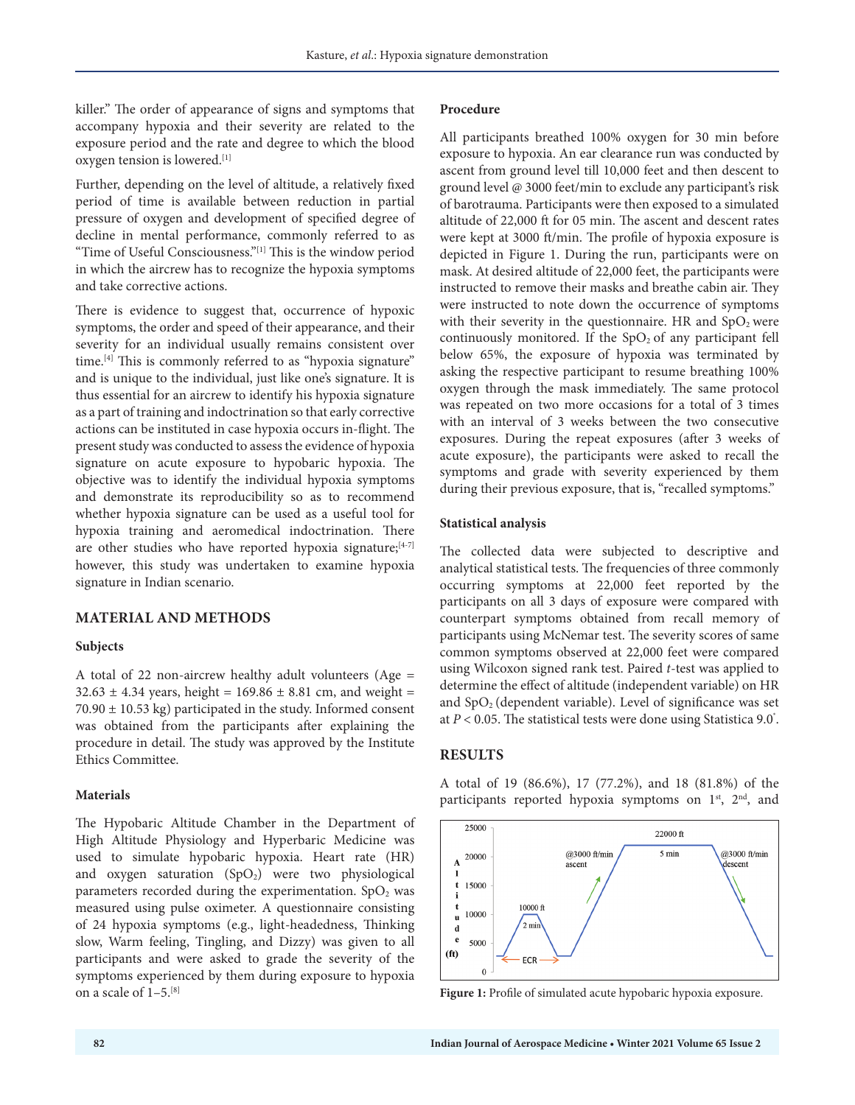killer." The order of appearance of signs and symptoms that accompany hypoxia and their severity are related to the exposure period and the rate and degree to which the blood oxygen tension is lowered.[1]

Further, depending on the level of altitude, a relatively fixed period of time is available between reduction in partial pressure of oxygen and development of specified degree of decline in mental performance, commonly referred to as "Time of Useful Consciousness."[1] This is the window period in which the aircrew has to recognize the hypoxia symptoms and take corrective actions.

There is evidence to suggest that, occurrence of hypoxic symptoms, the order and speed of their appearance, and their severity for an individual usually remains consistent over time.<sup>[4]</sup> This is commonly referred to as "hypoxia signature" and is unique to the individual, just like one's signature. It is thus essential for an aircrew to identify his hypoxia signature as a part of training and indoctrination so that early corrective actions can be instituted in case hypoxia occurs in-flight. The present study was conducted to assess the evidence of hypoxia signature on acute exposure to hypobaric hypoxia. The objective was to identify the individual hypoxia symptoms and demonstrate its reproducibility so as to recommend whether hypoxia signature can be used as a useful tool for hypoxia training and aeromedical indoctrination. There are other studies who have reported hypoxia signature;  $[4-7]$ however, this study was undertaken to examine hypoxia signature in Indian scenario.

#### **MATERIAL AND METHODS**

#### **Subjects**

A total of 22 non-aircrew healthy adult volunteers (Age =  $32.63 \pm 4.34$  years, height =  $169.86 \pm 8.81$  cm, and weight =  $70.90 \pm 10.53$  kg) participated in the study. Informed consent was obtained from the participants after explaining the procedure in detail. The study was approved by the Institute Ethics Committee.

#### **Materials**

The Hypobaric Altitude Chamber in the Department of High Altitude Physiology and Hyperbaric Medicine was used to simulate hypobaric hypoxia. Heart rate (HR) and oxygen saturation  $(SpO<sub>2</sub>)$  were two physiological parameters recorded during the experimentation.  $SpO<sub>2</sub>$  was measured using pulse oximeter. A questionnaire consisting of 24 hypoxia symptoms (e.g., light-headedness, Thinking slow, Warm feeling, Tingling, and Dizzy) was given to all participants and were asked to grade the severity of the symptoms experienced by them during exposure to hypoxia on a scale of 1–5.[8]

#### **Procedure**

All participants breathed 100% oxygen for 30 min before exposure to hypoxia. An ear clearance run was conducted by ascent from ground level till 10,000 feet and then descent to ground level @ 3000 feet/min to exclude any participant's risk of barotrauma. Participants were then exposed to a simulated altitude of 22,000 ft for 05 min. The ascent and descent rates were kept at 3000 ft/min. The profile of hypoxia exposure is depicted in Figure 1. During the run, participants were on mask. At desired altitude of 22,000 feet, the participants were instructed to remove their masks and breathe cabin air. They were instructed to note down the occurrence of symptoms with their severity in the questionnaire. HR and  $SpO<sub>2</sub>$  were continuously monitored. If the  $SpO<sub>2</sub>$  of any participant fell below 65%, the exposure of hypoxia was terminated by asking the respective participant to resume breathing 100% oxygen through the mask immediately. The same protocol was repeated on two more occasions for a total of 3 times with an interval of 3 weeks between the two consecutive exposures. During the repeat exposures (after 3 weeks of acute exposure), the participants were asked to recall the symptoms and grade with severity experienced by them during their previous exposure, that is, "recalled symptoms."

#### **Statistical analysis**

The collected data were subjected to descriptive and analytical statistical tests. The frequencies of three commonly occurring symptoms at 22,000 feet reported by the participants on all 3 days of exposure were compared with counterpart symptoms obtained from recall memory of participants using McNemar test. The severity scores of same common symptoms observed at 22,000 feet were compared using Wilcoxon signed rank test. Paired *t*-test was applied to determine the effect of altitude (independent variable) on HR and  $SpO<sub>2</sub>$  (dependent variable). Level of significance was set at  $P < 0.05$ . The statistical tests were done using Statistica 9.0 $^{\circ}$ .

#### **RESULTS**



A total of 19 (86.6%), 17 (77.2%), and 18 (81.8%) of the participants reported hypoxia symptoms on 1st, 2<sup>nd</sup>, and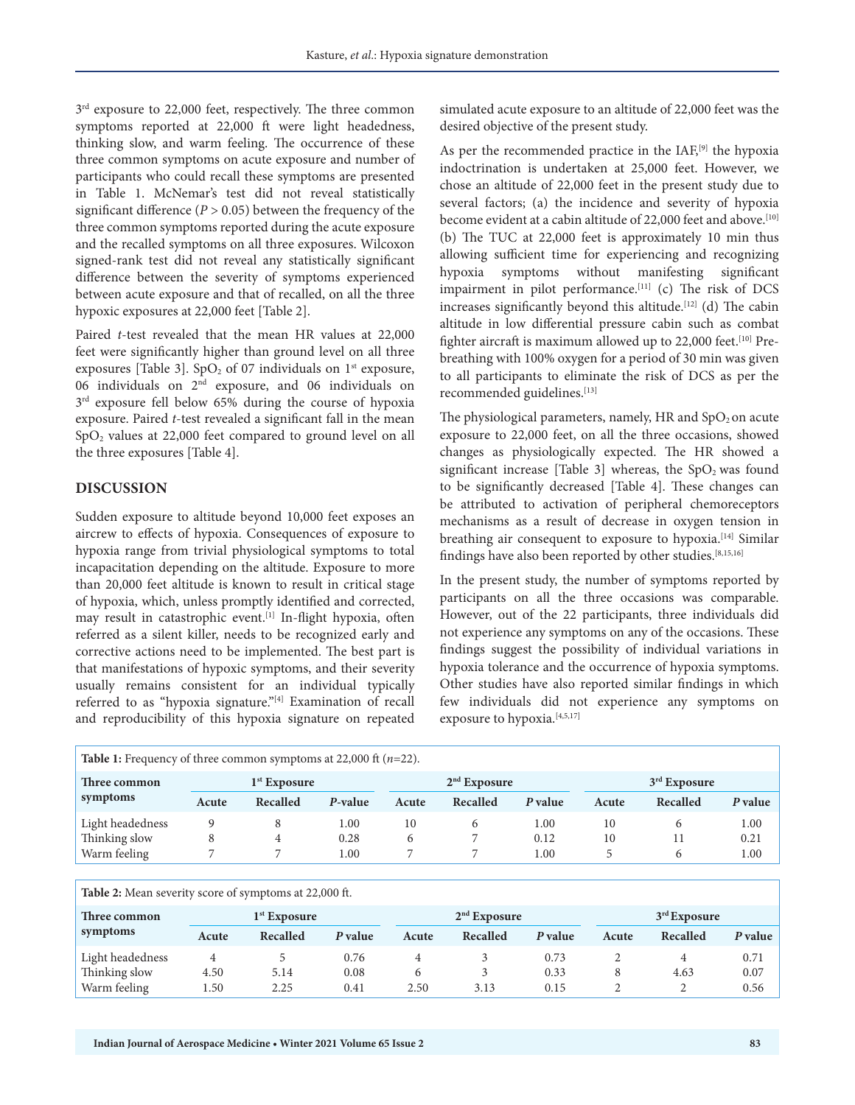$3<sup>rd</sup>$  exposure to 22,000 feet, respectively. The three common symptoms reported at 22,000 ft were light headedness, thinking slow, and warm feeling. The occurrence of these three common symptoms on acute exposure and number of participants who could recall these symptoms are presented in Table 1. McNemar's test did not reveal statistically significant difference  $(P > 0.05)$  between the frequency of the three common symptoms reported during the acute exposure and the recalled symptoms on all three exposures. Wilcoxon signed-rank test did not reveal any statistically significant difference between the severity of symptoms experienced between acute exposure and that of recalled, on all the three hypoxic exposures at 22,000 feet [Table 2].

Paired *t*-test revealed that the mean HR values at 22,000 feet were significantly higher than ground level on all three exposures [Table 3]. SpO<sub>2</sub> of 07 individuals on  $1<sup>st</sup>$  exposure, 06 individuals on 2nd exposure, and 06 individuals on  $3<sup>rd</sup>$  exposure fell below 65% during the course of hypoxia exposure. Paired *t*-test revealed a significant fall in the mean SpO2 values at 22,000 feet compared to ground level on all the three exposures [Table 4].

#### **DISCUSSION**

Sudden exposure to altitude beyond 10,000 feet exposes an aircrew to effects of hypoxia. Consequences of exposure to hypoxia range from trivial physiological symptoms to total incapacitation depending on the altitude. Exposure to more than 20,000 feet altitude is known to result in critical stage of hypoxia, which, unless promptly identified and corrected, may result in catastrophic event.<sup>[1]</sup> In-flight hypoxia, often referred as a silent killer, needs to be recognized early and corrective actions need to be implemented. The best part is that manifestations of hypoxic symptoms, and their severity usually remains consistent for an individual typically referred to as "hypoxia signature."[4] Examination of recall and reproducibility of this hypoxia signature on repeated

simulated acute exposure to an altitude of 22,000 feet was the desired objective of the present study.

As per the recommended practice in the  $IAF<sub>1</sub><sup>[9]</sup>$  the hypoxia indoctrination is undertaken at 25,000 feet. However, we chose an altitude of 22,000 feet in the present study due to several factors; (a) the incidence and severity of hypoxia become evident at a cabin altitude of 22,000 feet and above.<sup>[10]</sup> (b) The TUC at 22,000 feet is approximately 10 min thus allowing sufficient time for experiencing and recognizing hypoxia symptoms without manifesting significant impairment in pilot performance.<sup>[11]</sup> (c) The risk of DCS increases significantly beyond this altitude.<sup>[12]</sup> (d) The cabin altitude in low differential pressure cabin such as combat fighter aircraft is maximum allowed up to 22,000 feet.<sup>[10]</sup> Prebreathing with 100% oxygen for a period of 30 min was given to all participants to eliminate the risk of DCS as per the recommended guidelines.<sup>[13]</sup>

The physiological parameters, namely, HR and  $SpO<sub>2</sub>$  on acute exposure to 22,000 feet, on all the three occasions, showed changes as physiologically expected. The HR showed a significant increase [Table 3] whereas, the  $SpO<sub>2</sub>$  was found to be significantly decreased [Table 4]. These changes can be attributed to activation of peripheral chemoreceptors mechanisms as a result of decrease in oxygen tension in breathing air consequent to exposure to hypoxia.<sup>[14]</sup> Similar findings have also been reported by other studies.<sup>[8,15,16]</sup>

In the present study, the number of symptoms reported by participants on all the three occasions was comparable. However, out of the 22 participants, three individuals did not experience any symptoms on any of the occasions. These findings suggest the possibility of individual variations in hypoxia tolerance and the occurrence of hypoxia symptoms. Other studies have also reported similar findings in which few individuals did not experience any symptoms on exposure to hypoxia.<sup>[4,5,17]</sup>

| <b>Table 1:</b> Frequency of three common symptoms at 22,000 ft $(n=22)$ . |                |          |         |                |                |         |                |          |         |  |
|----------------------------------------------------------------------------|----------------|----------|---------|----------------|----------------|---------|----------------|----------|---------|--|
| Three common<br>symptoms                                                   | $1st$ Exposure |          |         | $2nd$ Exposure |                |         | $3rd$ Exposure |          |         |  |
|                                                                            | Acute          | Recalled | P-value | Acute          | Recalled       | P value | Acute          | Recalled | P value |  |
| Light headedness                                                           |                |          | 1.00    | 10             | <sub>(b)</sub> | 1.00    | 10             |          | 1.00    |  |
| Thinking slow                                                              | 8              |          | 0.28    | 6              |                | 0.12    | 10             |          | 0.21    |  |
| Warm feeling                                                               |                |          | l.00    |                |                | 1.00    |                | 6        | 1.00    |  |

| <b>Table 2:</b> Mean severity score of symptoms at 22,000 ft. |                |          |         |                |          |         |                |          |         |
|---------------------------------------------------------------|----------------|----------|---------|----------------|----------|---------|----------------|----------|---------|
| Three common<br>symptoms                                      | $1st$ Exposure |          |         | $2nd$ Exposure |          |         | $3rd$ Exposure |          |         |
|                                                               | Acute          | Recalled | P value | Acute          | Recalled | P value | Acute          | Recalled | P value |
| Light headedness                                              | 4              |          | 0.76    |                |          | 0.73    |                | 4        | 0.71    |
| Thinking slow                                                 | 4.50           | 5.14     | 0.08    | b              |          | 0.33    | 8              | 4.63     | 0.07    |
| Warm feeling                                                  | 1.50           | 2.25     | 0.41    | 2.50           | 3.13     | 0.15    |                |          | 0.56    |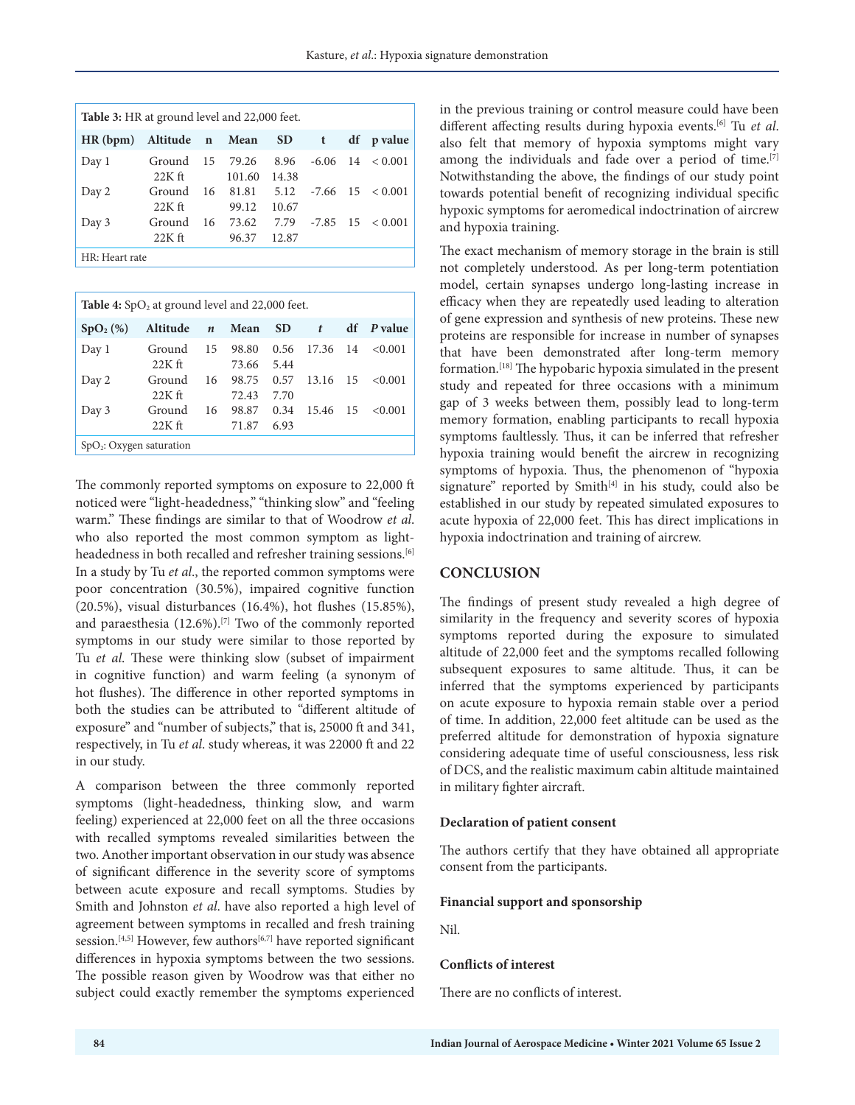| <b>Table 3:</b> HR at ground level and 22,000 feet. |                                 |    |                 |               |  |  |                             |  |  |
|-----------------------------------------------------|---------------------------------|----|-----------------|---------------|--|--|-----------------------------|--|--|
| HR(bpm)                                             | Altitude n Mean SD t df p value |    |                 |               |  |  |                             |  |  |
| Day 1                                               | Ground<br>$22K$ ft              | 15 | 79.26<br>101.60 | 8.96<br>14.38 |  |  | $-6.06$ 14 $< 0.001$        |  |  |
| Day 2                                               | Ground 16 81.81<br>$22K$ ft     |    | 99.12           | 10.67         |  |  | $5.12$ $-7.66$ $15 < 0.001$ |  |  |
| Day 3                                               | Ground<br>$22K$ ft              | 16 | 73.62<br>96.37  | 12.87         |  |  | $7.79$ $-7.85$ $15 < 0.001$ |  |  |

HR: Heart rate

| <b>Table 4:</b> SpO <sub>2</sub> at ground level and 22,000 feet. |                    |                  |                |              |       |      |                   |  |  |
|-------------------------------------------------------------------|--------------------|------------------|----------------|--------------|-------|------|-------------------|--|--|
| SpO <sub>2</sub> (%)                                              | Altitude           | $\boldsymbol{n}$ | Mean           | <b>SD</b>    | t     |      | df <i>P</i> value |  |  |
| Day 1                                                             | Ground<br>$22K$ ft | 15               | 98.80<br>73.66 | 0.56<br>5.44 | 17.36 | - 14 | < 0.001           |  |  |
| Day 2                                                             | Ground<br>$22K$ ft | 16               | 98.75<br>72.43 | 0.57<br>7.70 | 13.16 | 15   | < 0.001           |  |  |
| Day 3                                                             | Ground<br>$22K$ ft | 16               | 98.87<br>71.87 | 0.34<br>6.93 | 15.46 | 15   | < 0.001           |  |  |
| SpO <sub>2</sub> : Oxygen saturation                              |                    |                  |                |              |       |      |                   |  |  |

The commonly reported symptoms on exposure to 22,000 ft noticed were "light-headedness," "thinking slow" and "feeling warm." These findings are similar to that of Woodrow *et al*. who also reported the most common symptom as lightheadedness in both recalled and refresher training sessions.<sup>[6]</sup> In a study by Tu *et al*., the reported common symptoms were poor concentration (30.5%), impaired cognitive function (20.5%), visual disturbances (16.4%), hot flushes (15.85%), and paraesthesia (12.6%).[7] Two of the commonly reported symptoms in our study were similar to those reported by Tu *et al*. These were thinking slow (subset of impairment in cognitive function) and warm feeling (a synonym of hot flushes). The difference in other reported symptoms in both the studies can be attributed to "different altitude of exposure" and "number of subjects," that is, 25000 ft and 341, respectively, in Tu *et al*. study whereas, it was 22000 ft and 22 in our study.

A comparison between the three commonly reported symptoms (light-headedness, thinking slow, and warm feeling) experienced at 22,000 feet on all the three occasions with recalled symptoms revealed similarities between the two. Another important observation in our study was absence of significant difference in the severity score of symptoms between acute exposure and recall symptoms. Studies by Smith and Johnston *et al*. have also reported a high level of agreement between symptoms in recalled and fresh training session.<sup>[4,5]</sup> However, few authors<sup>[6,7]</sup> have reported significant differences in hypoxia symptoms between the two sessions. The possible reason given by Woodrow was that either no subject could exactly remember the symptoms experienced

in the previous training or control measure could have been different affecting results during hypoxia events.[6] Tu *et al*. also felt that memory of hypoxia symptoms might vary among the individuals and fade over a period of time.<sup>[7]</sup> Notwithstanding the above, the findings of our study point towards potential benefit of recognizing individual specific hypoxic symptoms for aeromedical indoctrination of aircrew and hypoxia training.

The exact mechanism of memory storage in the brain is still not completely understood. As per long-term potentiation model, certain synapses undergo long-lasting increase in efficacy when they are repeatedly used leading to alteration of gene expression and synthesis of new proteins. These new proteins are responsible for increase in number of synapses that have been demonstrated after long-term memory formation.[18] The hypobaric hypoxia simulated in the present study and repeated for three occasions with a minimum gap of 3 weeks between them, possibly lead to long-term memory formation, enabling participants to recall hypoxia symptoms faultlessly. Thus, it can be inferred that refresher hypoxia training would benefit the aircrew in recognizing symptoms of hypoxia. Thus, the phenomenon of "hypoxia signature" reported by Smith<sup>[4]</sup> in his study, could also be established in our study by repeated simulated exposures to acute hypoxia of 22,000 feet. This has direct implications in hypoxia indoctrination and training of aircrew.

#### **CONCLUSION**

The findings of present study revealed a high degree of similarity in the frequency and severity scores of hypoxia symptoms reported during the exposure to simulated altitude of 22,000 feet and the symptoms recalled following subsequent exposures to same altitude. Thus, it can be inferred that the symptoms experienced by participants on acute exposure to hypoxia remain stable over a period of time. In addition, 22,000 feet altitude can be used as the preferred altitude for demonstration of hypoxia signature considering adequate time of useful consciousness, less risk of DCS, and the realistic maximum cabin altitude maintained in military fighter aircraft.

#### **Declaration of patient consent**

The authors certify that they have obtained all appropriate consent from the participants.

#### **Financial support and sponsorship**

Nil.

#### **Conflicts of interest**

There are no conflicts of interest.